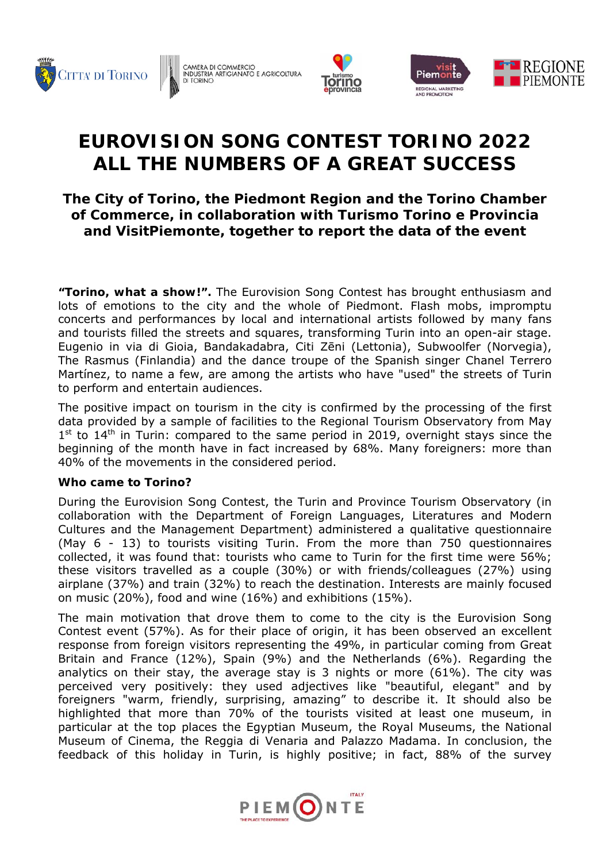

CAMERA DI COMMERCIO<br>INDUSTRIA ARTIGIANATO E AGRICOLTURA DI TORINO





# **EUROVISION SONG CONTEST TORINO 2022 ALL THE NUMBERS OF A GREAT SUCCESS**

## **The City of Torino, the Piedmont Region and the Torino Chamber of Commerce, in collaboration with Turismo Torino e Provincia and VisitPiemonte, together to report the data of the event**

**"Torino, what a show!".** The Eurovision Song Contest has brought enthusiasm and lots of emotions to the city and the whole of Piedmont. Flash mobs, impromptu concerts and performances by local and international artists followed by many fans and tourists filled the streets and squares, transforming Turin into an open-air stage. Eugenio in via di Gioia, Bandakadabra, Citi Zēni (Lettonia), Subwoolfer (Norvegia), The Rasmus (Finlandia) and the dance troupe of the Spanish singer Chanel Terrero Martínez, to name a few, are among the artists who have "used" the streets of Turin to perform and entertain audiences.

The positive impact on tourism in the city is confirmed by the processing of the first data provided by a sample of facilities to the Regional Tourism Observatory from May  $1<sup>st</sup>$  to  $14<sup>th</sup>$  in Turin: compared to the same period in 2019, overnight stays since the beginning of the month have in fact increased by 68%. Many foreigners: more than 40% of the movements in the considered period.

### **Who came to Torino?**

During the Eurovision Song Contest, the Turin and Province Tourism Observatory (in collaboration with the Department of Foreign Languages, Literatures and Modern Cultures and the Management Department) administered a qualitative questionnaire (May 6 - 13) to tourists visiting Turin. From the more than 750 questionnaires collected, it was found that: tourists who came to Turin for the first time were 56%; these visitors travelled as a couple (30%) or with friends/colleagues (27%) using airplane (37%) and train (32%) to reach the destination. Interests are mainly focused on music (20%), food and wine (16%) and exhibitions (15%).

The main motivation that drove them to come to the city is the Eurovision Song Contest event (57%). As for their place of origin, it has been observed an excellent response from foreign visitors representing the 49%, in particular coming from Great Britain and France (12%), Spain (9%) and the Netherlands (6%). Regarding the analytics on their stay, the average stay is 3 nights or more (61%). The city was perceived very positively: they used adjectives like "beautiful, elegant" and by foreigners "warm, friendly, surprising, amazing" to describe it. It should also be highlighted that more than 70% of the tourists visited at least one museum, in particular at the top places the Egyptian Museum, the Royal Museums, the National Museum of Cinema, the Reggia di Venaria and Palazzo Madama. In conclusion, the feedback of this holiday in Turin, is highly positive; in fact, 88% of the survey

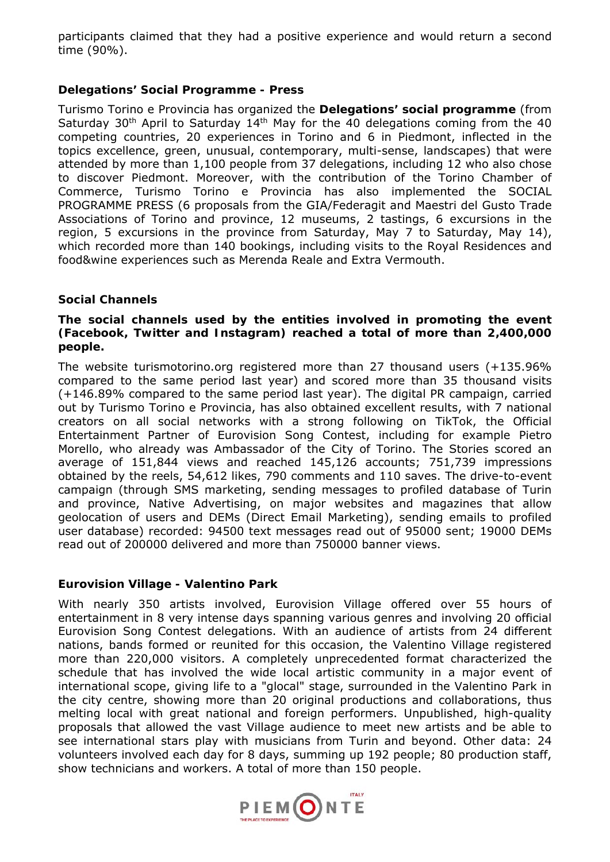participants claimed that they had a positive experience and would return a second time (90%).

#### **Delegations' Social Programme - Press**

Turismo Torino e Provincia has organized the **Delegations' social programme** (from Saturday 30<sup>th</sup> April to Saturday  $14$ <sup>th</sup> May for the 40 delegations coming from the 40 competing countries, 20 experiences in Torino and 6 in Piedmont, inflected in the topics excellence, green, unusual, contemporary, multi-sense, landscapes) that were attended by more than 1,100 people from 37 delegations, including 12 who also chose to discover Piedmont. Moreover, with the contribution of the Torino Chamber of Commerce, Turismo Torino e Provincia has also implemented the SOCIAL PROGRAMME PRESS (6 proposals from the GIA/Federagit and Maestri del Gusto Trade Associations of Torino and province, 12 museums, 2 tastings, 6 excursions in the region, 5 excursions in the province from Saturday, May 7 to Saturday, May 14), which recorded more than 140 bookings, including visits to the Royal Residences and food&wine experiences such as Merenda Reale and Extra Vermouth.

#### **Social Channels**

#### **The social channels used by the entities involved in promoting the event (Facebook, Twitter and Instagram) reached a total of more than 2,400,000 people.**

The website turismotorino.org registered more than 27 thousand users (+135.96% compared to the same period last year) and scored more than 35 thousand visits (+146.89% compared to the same period last year). The digital PR campaign, carried out by Turismo Torino e Provincia, has also obtained excellent results, with 7 national creators on all social networks with a strong following on TikTok, the Official Entertainment Partner of Eurovision Song Contest, including for example Pietro Morello, who already was Ambassador of the City of Torino. The Stories scored an average of 151,844 views and reached 145,126 accounts; 751,739 impressions obtained by the reels, 54,612 likes, 790 comments and 110 saves. The drive-to-event campaign (through SMS marketing, sending messages to profiled database of Turin and province, Native Advertising, on major websites and magazines that allow geolocation of users and DEMs (Direct Email Marketing), sending emails to profiled user database) recorded: 94500 text messages read out of 95000 sent; 19000 DEMs read out of 200000 delivered and more than 750000 banner views.

#### **Eurovision Village - Valentino Park**

With nearly 350 artists involved, Eurovision Village offered over 55 hours of entertainment in 8 very intense days spanning various genres and involving 20 official Eurovision Song Contest delegations. With an audience of artists from 24 different nations, bands formed or reunited for this occasion, the Valentino Village registered more than 220,000 visitors. A completely unprecedented format characterized the schedule that has involved the wide local artistic community in a major event of international scope, giving life to a "glocal" stage, surrounded in the Valentino Park in the city centre, showing more than 20 original productions and collaborations, thus melting local with great national and foreign performers. Unpublished, high-quality proposals that allowed the vast Village audience to meet new artists and be able to see international stars play with musicians from Turin and beyond. Other data: 24 volunteers involved each day for 8 days, summing up 192 people; 80 production staff, show technicians and workers. A total of more than 150 people.